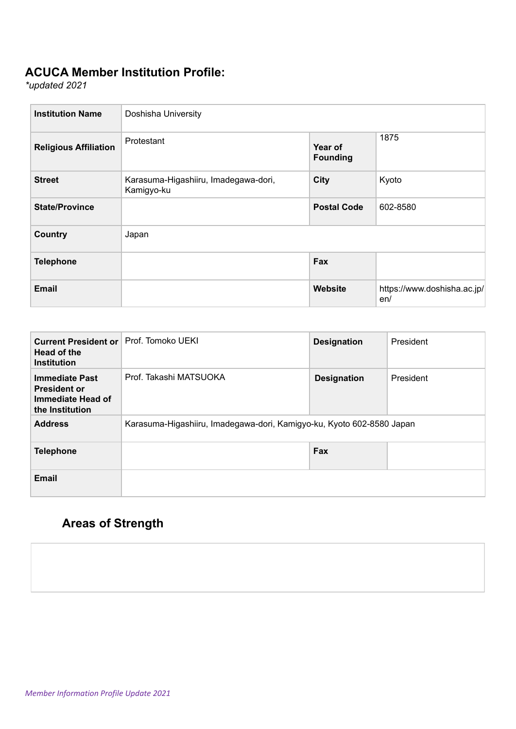## **ACUCA Member Institution Profile:**

*\*updated 2021*

| <b>Institution Name</b>      | Doshisha University                                |                            |                                    |
|------------------------------|----------------------------------------------------|----------------------------|------------------------------------|
| <b>Religious Affiliation</b> | Protestant                                         | Year of<br><b>Founding</b> | 1875                               |
| <b>Street</b>                | Karasuma-Higashiiru, Imadegawa-dori,<br>Kamigyo-ku | <b>City</b>                | Kyoto                              |
| <b>State/Province</b>        |                                                    | <b>Postal Code</b>         | 602-8580                           |
| <b>Country</b>               | Japan                                              |                            |                                    |
| <b>Telephone</b>             |                                                    | Fax                        |                                    |
| <b>Email</b>                 |                                                    | <b>Website</b>             | https://www.doshisha.ac.jp/<br>en/ |

| <b>Current President or</b><br>Head of the<br><b>Institution</b>                     | Prof. Tomoko UEKI                                                     | <b>Designation</b> | President |
|--------------------------------------------------------------------------------------|-----------------------------------------------------------------------|--------------------|-----------|
| <b>Immediate Past</b><br><b>President or</b><br>Immediate Head of<br>the Institution | Prof. Takashi MATSUOKA                                                | <b>Designation</b> | President |
| <b>Address</b>                                                                       | Karasuma-Higashiiru, Imadegawa-dori, Kamigyo-ku, Kyoto 602-8580 Japan |                    |           |
| <b>Telephone</b>                                                                     |                                                                       | Fax                |           |
| <b>Email</b>                                                                         |                                                                       |                    |           |

## **Areas of Strength**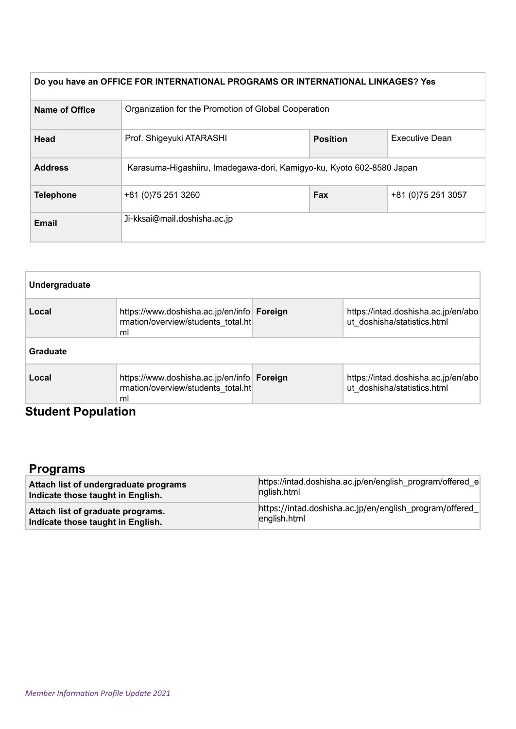| Do you have an OFFICE FOR INTERNATIONAL PROGRAMS OR INTERNATIONAL LINKAGES? Yes |                                                                       |                 |                     |  |  |
|---------------------------------------------------------------------------------|-----------------------------------------------------------------------|-----------------|---------------------|--|--|
| Name of Office                                                                  | Organization for the Promotion of Global Cooperation                  |                 |                     |  |  |
| Head                                                                            | Prof. Shigeyuki ATARASHI                                              | <b>Position</b> |                     |  |  |
| <b>Address</b>                                                                  | Karasuma-Higashiiru, Imadegawa-dori, Kamigyo-ku, Kyoto 602-8580 Japan |                 |                     |  |  |
| <b>Telephone</b><br>+81 (0) 75 251 3260                                         |                                                                       | Fax             | +81 (0) 75 251 3057 |  |  |
| <b>Email</b>                                                                    | Ji-kksai@mail.doshisha.ac.jp                                          |                 |                     |  |  |

| Undergraduate |                                                                                        |  |                                                                    |  |  |
|---------------|----------------------------------------------------------------------------------------|--|--------------------------------------------------------------------|--|--|
| Local         | https://www.doshisha.ac.jp/en/info Foreign<br>rmation/overview/students total.ht<br>ml |  | https://intad.doshisha.ac.jp/en/abo<br>ut doshisha/statistics.html |  |  |
| Graduate      |                                                                                        |  |                                                                    |  |  |
| Local         | https://www.doshisha.ac.jp/en/info Foreign<br>rmation/overview/students total.ht<br>ml |  | https://intad.doshisha.ac.jp/en/abo<br>ut doshisha/statistics.html |  |  |

#### **Student Population**

## **Programs**

| Attach list of undergraduate programs | https://intad.doshisha.ac.jp/en/english program/offered e |
|---------------------------------------|-----------------------------------------------------------|
| Indicate those taught in English.     | nglish.html                                               |
| Attach list of graduate programs.     | https://intad.doshisha.ac.jp/en/english_program/offered_  |
| Indicate those taught in English.     | english.html                                              |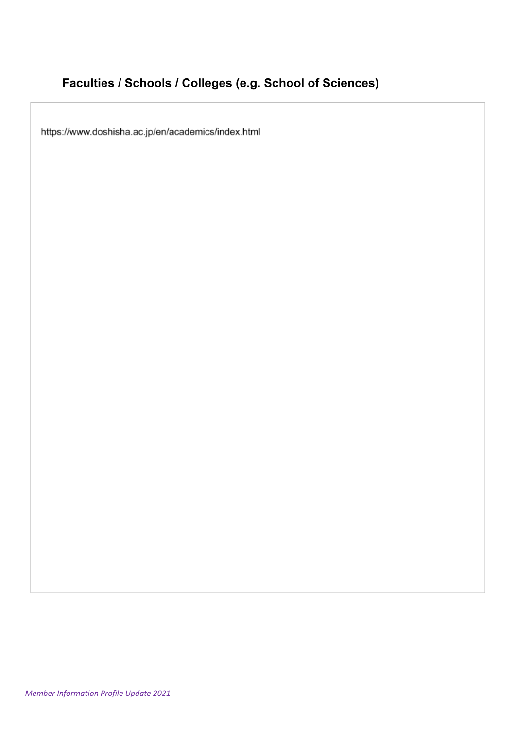# **Faculties / Schools / Colleges (e.g. School of Sciences)**

https://www.doshisha.ac.jp/en/academics/index.html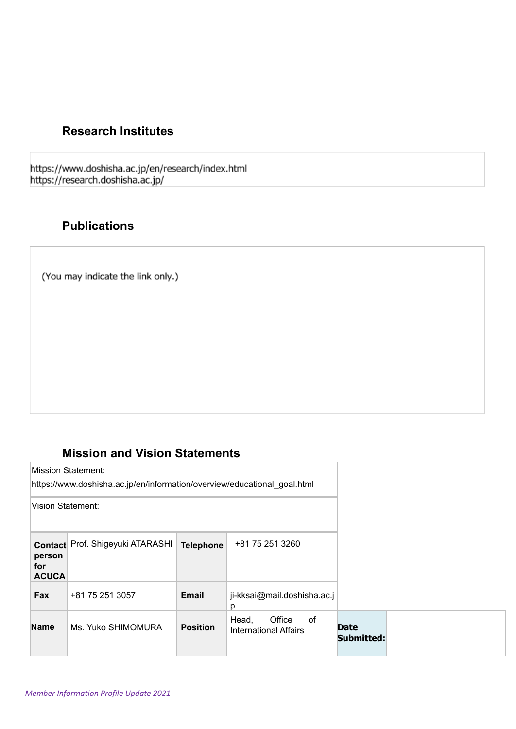### **Research Institutes**

https://www.doshisha.ac.jp/en/research/index.html<br>https://research.doshisha.ac.jp/

### **Publications**

(You may indicate the link only.)

### **Mission and Vision Statements**

| Mission Statement:<br>https://www.doshisha.ac.jp/en/information/overview/educational_goal.html<br>Vision Statement: |                                  |                  |                                                       |                           |  |
|---------------------------------------------------------------------------------------------------------------------|----------------------------------|------------------|-------------------------------------------------------|---------------------------|--|
| person<br>for<br><b>ACUCA</b>                                                                                       | Contact Prof. Shigeyuki ATARASHI | <b>Telephone</b> | +81 75 251 3260                                       |                           |  |
| Fax                                                                                                                 | +81 75 251 3057                  | <b>Email</b>     | ji-kksai@mail.doshisha.ac.j<br>р                      |                           |  |
| <b>Name</b>                                                                                                         | Ms. Yuko SHIMOMURA               | <b>Position</b>  | Head,<br>Office<br>of<br><b>International Affairs</b> | <b>Date</b><br>Submitted: |  |